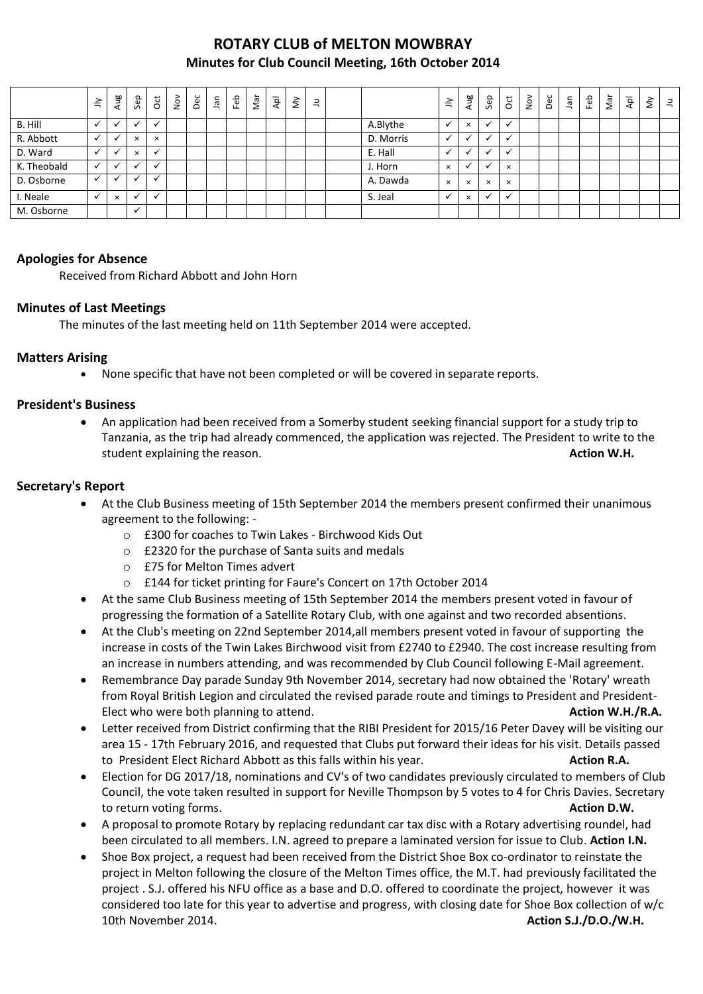# **ROTARY CLUB of MELTON MOWBRAY Minutes for Club Council Meeting, 16th October 2014**

|             | $\leq$       | Aug          | Sep          | õ            | $\sum_{i=1}^{\infty}$ | Dec | Jan | Feb | Nar | ρþ | š | $\exists$ |           | $\geq$       | Aug                      | Sep      | $\overline{c}$ | $\frac{5}{2}$ | Dec | <b>Jan</b> | Feb | Nar | Apl | š | $\equiv$ |
|-------------|--------------|--------------|--------------|--------------|-----------------------|-----|-----|-----|-----|----|---|-----------|-----------|--------------|--------------------------|----------|----------------|---------------|-----|------------|-----|-----|-----|---|----------|
| B. Hill     |              |              |              | $\checkmark$ |                       |     |     |     |     |    |   |           | A.Blythe  |              | $\times$                 |          |                |               |     |            |     |     |     |   |          |
| R. Abbott   | $\checkmark$ | $\checkmark$ | $\times$     | $\times$     |                       |     |     |     |     |    |   |           | D. Morris | $\checkmark$ | $\cdot$                  | $\cdot$  |                |               |     |            |     |     |     |   |          |
| D. Ward     |              | $\cdot$      | $\times$     | $\checkmark$ |                       |     |     |     |     |    |   |           | E. Hall   |              | $\overline{\phantom{a}}$ |          |                |               |     |            |     |     |     |   |          |
| K. Theobald | $\checkmark$ | ٠            |              | $\ddot{ }$   |                       |     |     |     |     |    |   |           | J. Horn   | $\times$     | $\mathbf{v}$             | $\cdot$  | $\times$       |               |     |            |     |     |     |   |          |
| D. Osborne  | $\checkmark$ | $\cdot$      |              | <b>M</b>     |                       |     |     |     |     |    |   |           | A. Dawda  | $\times$     | $\times$                 | $\times$ | $\times$       |               |     |            |     |     |     |   |          |
| I. Neale    | $\checkmark$ | $\times$     | $\checkmark$ | $\checkmark$ |                       |     |     |     |     |    |   |           | S. Jeal   |              | $\times$                 | $\cdot$  |                |               |     |            |     |     |     |   |          |
| M. Osborne  |              |              | $\checkmark$ |              |                       |     |     |     |     |    |   |           |           |              |                          |          |                |               |     |            |     |     |     |   |          |

## **Apologies for Absence**

Received from Richard Abbott and John Horn

### **Minutes of Last Meetings**

The minutes of the last meeting held on 11th September 2014 were accepted.

### **Matters Arising**

None specific that have not been completed or will be covered in separate reports.

## **President's Business**

 An application had been received from a Somerby student seeking financial support for a study trip to Tanzania, as the trip had already commenced, the application was rejected. The President to write to the student explaining the reason. **Action W.H. Action W.H. Action W.H. Action W.H.** 

## **Secretary's Report**

- At the Club Business meeting of 15th September 2014 the members present confirmed their unanimous agreement to the following:
	- o £300 for coaches to Twin Lakes Birchwood Kids Out
	- o £2320 for the purchase of Santa suits and medals
	- o £75 for Melton Times advert
	- o £144 for ticket printing for Faure's Concert on 17th October 2014
- At the same Club Business meeting of 15th September 2014 the members present voted in favour of progressing the formation of a Satellite Rotary Club, with one against and two recorded absentions.
- At the Club's meeting on 22nd September 2014,all members present voted in favour of supporting the increase in costs of the Twin Lakes Birchwood visit from £2740 to £2940. The cost increase resulting from an increase in numbers attending, and was recommended by Club Council following E-Mail agreement.
- Remembrance Day parade Sunday 9th November 2014, secretary had now obtained the 'Rotary' wreath from Royal British Legion and circulated the revised parade route and timings to President and President-Elect who were both planning to attend. **Action W.H./R.A. Action W.H./R.A.**
- Letter received from District confirming that the RIBI President for 2015/16 Peter Davey will be visiting our area 15 - 17th February 2016, and requested that Clubs put forward their ideas for his visit. Details passed to President Elect Richard Abbott as this falls within his year. **Action R.A. Action R.A.**
- Election for DG 2017/18, nominations and CV's of two candidates previously circulated to members of Club Council, the vote taken resulted in support for Neville Thompson by 5 votes to 4 for Chris Davies. Secretary to return voting forms. **Action D.W.**
- A proposal to promote Rotary by replacing redundant car tax disc with a Rotary advertising roundel, had been circulated to all members. I.N. agreed to prepare a laminated version for issue to Club. **Action I.N.**
- Shoe Box project, a request had been received from the District Shoe Box co-ordinator to reinstate the project in Melton following the closure of the Melton Times office, the M.T. had previously facilitated the project . S.J. offered his NFU office as a base and D.O. offered to coordinate the project, however it was considered too late for this year to advertise and progress, with closing date for Shoe Box collection of w/c 10th November 2014. **Action S.J./D.O./W.H.**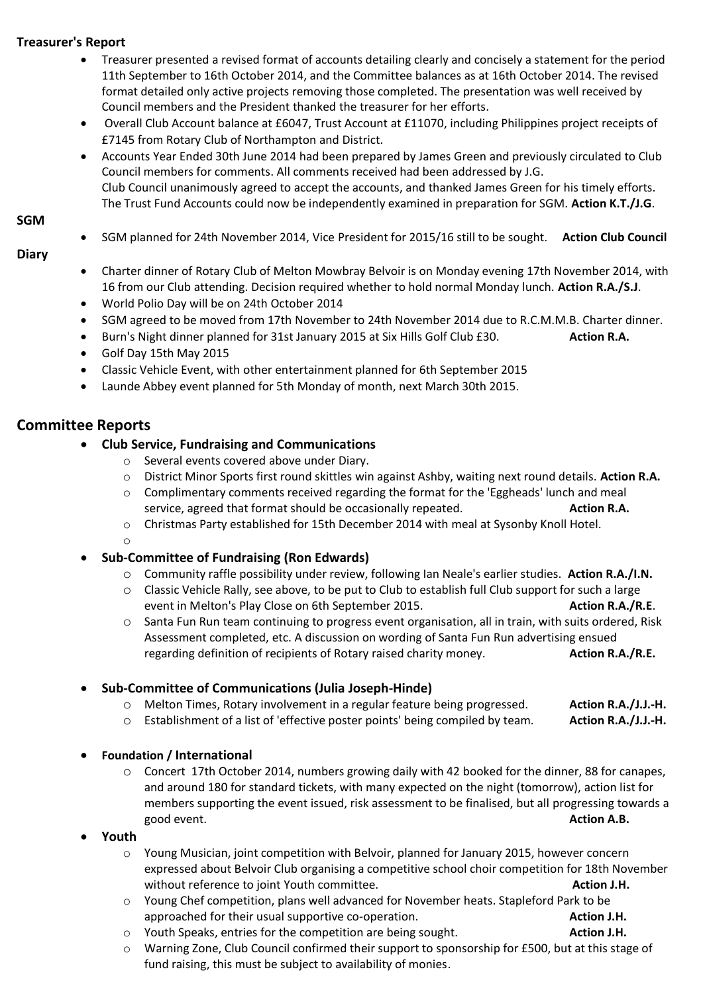## **Treasurer's Report**

- Treasurer presented a revised format of accounts detailing clearly and concisely a statement for the period 11th September to 16th October 2014, and the Committee balances as at 16th October 2014. The revised format detailed only active projects removing those completed. The presentation was well received by Council members and the President thanked the treasurer for her efforts.
- Overall Club Account balance at £6047, Trust Account at £11070, including Philippines project receipts of £7145 from Rotary Club of Northampton and District.
- Accounts Year Ended 30th June 2014 had been prepared by James Green and previously circulated to Club Council members for comments. All comments received had been addressed by J.G. Club Council unanimously agreed to accept the accounts, and thanked James Green for his timely efforts. The Trust Fund Accounts could now be independently examined in preparation for SGM. **Action K.T./J.G**.

#### **SGM**

SGM planned for 24th November 2014, Vice President for 2015/16 still to be sought. **Action Club Council**

#### **Diary**

- Charter dinner of Rotary Club of Melton Mowbray Belvoir is on Monday evening 17th November 2014, with 16 from our Club attending. Decision required whether to hold normal Monday lunch. **Action R.A./S.J**.
- World Polio Day will be on 24th October 2014
- SGM agreed to be moved from 17th November to 24th November 2014 due to R.C.M.M.B. Charter dinner.
- Burn's Night dinner planned for 31st January 2015 at Six Hills Golf Club £30. **Action R.A.**
- Golf Day 15th May 2015
- Classic Vehicle Event, with other entertainment planned for 6th September 2015
- Launde Abbey event planned for 5th Monday of month, next March 30th 2015.

# **Committee Reports**

- **Club Service, Fundraising and Communications**
	- o Several events covered above under Diary.
	- o District Minor Sports first round skittles win against Ashby, waiting next round details. **Action R.A.**
	- $\circ$  Complimentary comments received regarding the format for the 'Eggheads' lunch and meal service, agreed that format should be occasionally repeated. **Action R.A. Action R.A.**
	- o Christmas Party established for 15th December 2014 with meal at Sysonby Knoll Hotel.
	- o

### **Sub-Committee of Fundraising (Ron Edwards)**

- o Community raffle possibility under review, following Ian Neale's earlier studies. **Action R.A./I.N.**
- o Classic Vehicle Rally, see above, to be put to Club to establish full Club support for such a large event in Melton's Play Close on 6th September 2015. **Action R.A./R.E.** Action R.A./R.E.
- o Santa Fun Run team continuing to progress event organisation, all in train, with suits ordered, Risk Assessment completed, etc. A discussion on wording of Santa Fun Run advertising ensued regarding definition of recipients of Rotary raised charity money. **Action R.A./R.E.**

# **Sub-Committee of Communications (Julia Joseph-Hinde)**

- o Melton Times, Rotary involvement in a regular feature being progressed. **Action R.A./J.J.-H.**
- o Establishment of a list of 'effective poster points' being compiled by team. **Action R.A./J.J.-H.**

### **Foundation / International**

- o Concert 17th October 2014, numbers growing daily with 42 booked for the dinner, 88 for canapes, and around 180 for standard tickets, with many expected on the night (tomorrow), action list for members supporting the event issued, risk assessment to be finalised, but all progressing towards a good event. **Action A.B. Action A.B. Action A.B.**
- **Youth**
	- o Young Musician, joint competition with Belvoir, planned for January 2015, however concern expressed about Belvoir Club organising a competitive school choir competition for 18th November without reference to joint Youth committee. **Action J.H. Action J.H.**
	- o Young Chef competition, plans well advanced for November heats. Stapleford Park to be approached for their usual supportive co-operation. **Action J.H. Action J.H.**
	- o Youth Speaks, entries for the competition are being sought. **Action J.H. Action J.H.**
	- o Warning Zone, Club Council confirmed their support to sponsorship for £500, but at this stage of fund raising, this must be subject to availability of monies.